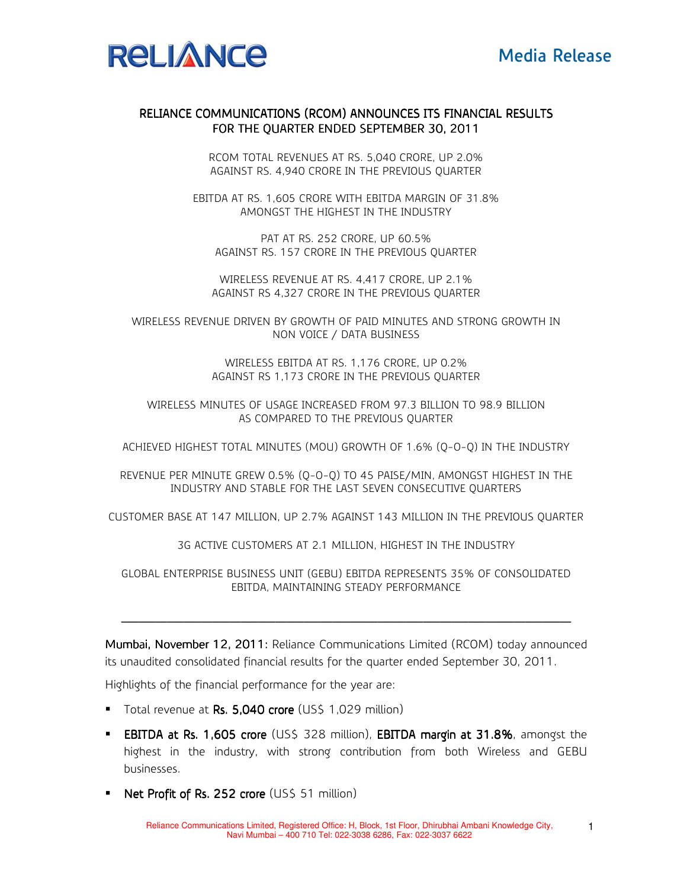

## RELIANCE COMMUNICATIONS (RCOM) ANNOUNCES ITS FINANCIAL RESULTS FOR THE QUARTER ENDED SEPTEMBER 30, 2011

RCOM TOTAL REVENUES AT RS. 5,040 CRORE, UP 2.0% AGAINST RS. 4,940 CRORE IN THE PREVIOUS QUARTER

EBITDA AT RS. 1,605 CRORE WITH EBITDA MARGIN OF 31.8% AMONGST THE HIGHEST IN THE INDUSTRY

PAT AT RS. 252 CRORE, UP 60.5% AGAINST RS. 157 CRORE IN THE PREVIOUS QUARTER

WIRELESS REVENUE AT RS. 4,417 CRORE, UP 2.1% AGAINST RS 4,327 CRORE IN THE PREVIOUS QUARTER

WIRELESS REVENUE DRIVEN BY GROWTH OF PAID MINUTES AND STRONG GROWTH IN NON VOICE / DATA BUSINESS

> WIRELESS EBITDA AT RS. 1,176 CRORE, UP 0.2% AGAINST RS 1,173 CRORE IN THE PREVIOUS QUARTER

WIRELESS MINUTES OF USAGE INCREASED FROM 97.3 BILLION TO 98.9 BILLION AS COMPARED TO THE PREVIOUS QUARTER

ACHIEVED HIGHEST TOTAL MINUTES (MOU) GROWTH OF 1.6% (Q-O-Q) IN THE INDUSTRY

REVENUE PER MINUTE GREW 0.5% (Q-O-Q) TO 45 PAISE/MIN, AMONGST HIGHEST IN THE INDUSTRY AND STABLE FOR THE LAST SEVEN CONSECUTIVE QUARTERS

CUSTOMER BASE AT 147 MILLION, UP 2.7% AGAINST 143 MILLION IN THE PREVIOUS QUARTER

3G ACTIVE CUSTOMERS AT 2.1 MILLION, HIGHEST IN THE INDUSTRY

GLOBAL ENTERPRISE BUSINESS UNIT (GEBU) EBITDA REPRESENTS 35% OF CONSOLIDATED EBITDA, MAINTAINING STEADY PERFORMANCE

\_\_\_\_\_\_\_\_\_\_\_\_\_\_\_\_\_\_\_\_\_\_\_\_\_\_\_\_\_\_\_ \_\_\_\_\_\_\_\_\_\_\_\_\_\_\_\_\_\_\_\_\_\_\_\_\_\_\_\_\_\_\_\_\_\_\_\_\_\_\_\_\_\_\_\_\_\_\_\_\_\_\_\_\_\_\_\_\_\_ \_\_\_\_\_\_\_\_\_\_\_\_\_\_\_\_\_\_\_\_\_\_\_\_\_\_\_ \_\_\_\_\_\_\_\_\_\_\_\_\_\_\_\_\_\_\_\_\_\_\_\_\_\_\_\_\_\_\_\_\_\_\_\_\_\_ \_\_\_\_\_\_\_\_\_\_\_ \_\_\_\_\_\_\_\_\_\_\_\_\_\_\_\_\_\_\_\_\_ \_\_\_\_\_\_\_\_\_\_ \_\_\_\_\_\_\_\_\_\_

Mumbai, November 12, 2011: Reliance Communications Limited (RCOM) today announced its unaudited consolidated financial results for the quarter ended September 30, 2011.

Highlights of the financial performance for the year are:

- Total revenue at Rs. 5,040 crore (US\$ 1,029 million)
- **EBITDA at Rs. 1,605 crore** (US\$ 328 million), **EBITDA margin at 31.8%**, amongst the highest in the industry, with strong contribution from both Wireless and GEBU businesses.
- Net Profit of Rs. 252 crore (US\$ 51 million)

1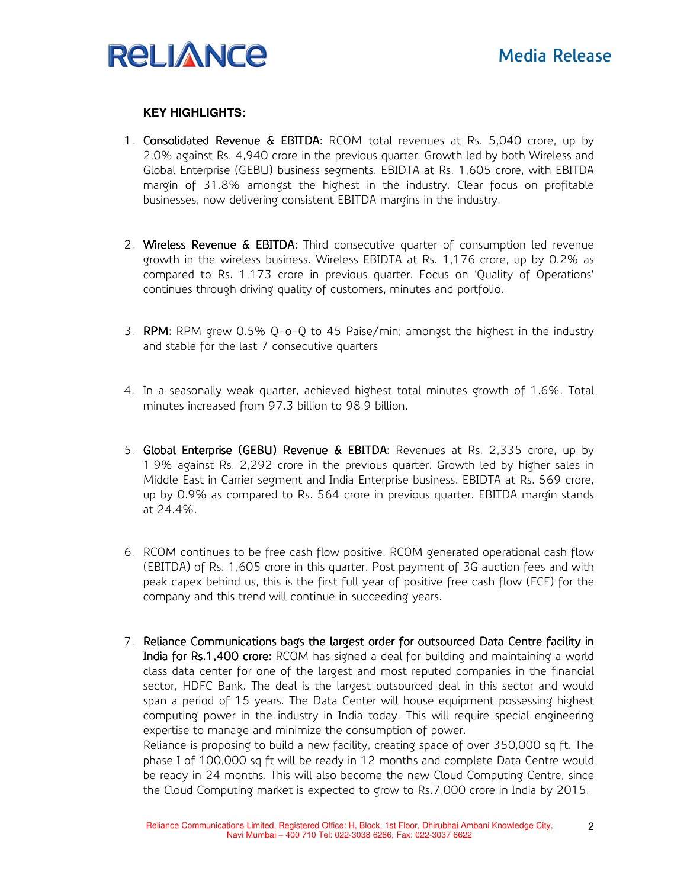

### **KEY HIGHLIGHTS:**

- 1. Consolidated Revenue & EBITDA: RCOM total revenues at Rs. 5,040 crore, up by 2.0% against Rs. 4,940 crore in the previous quarter. Growth led by both Wireless and Global Enterprise (GEBU) business segments. EBIDTA at Rs. 1,605 crore, with EBITDA margin of 31.8% amongst the highest in the industry. Clear focus on profitable businesses, now delivering consistent EBITDA margins in the industry.
- 2. Wireless Revenue  $\&$  EBITDA: Third consecutive quarter of consumption led revenue growth in the wireless business. Wireless EBIDTA at Rs. 1,176 crore, up by 0.2% as compared to Rs. 1,173 crore in previous quarter. Focus on 'Quality of Operations' continues through driving quality of customers, minutes and portfolio.
- 3. RPM: RPM grew 0.5% Q-o-Q to 45 Paise/min; amongst the highest in the industry and stable for the last 7 consecutive quarters
- 4. In a seasonally weak quarter, achieved highest total minutes growth of 1.6%. Total minutes increased from 97.3 billion to 98.9 billion.
- 5. Global Enterprise (GEBU) Revenue & EBITDA: Revenues at Rs. 2,335 crore, up by 1.9% against Rs. 2,292 crore in the previous quarter. Growth led by higher sales in Middle East in Carrier segment and India Enterprise business. EBIDTA at Rs. 569 crore, up by 0.9% as compared to Rs. 564 crore in previous quarter. EBITDA margin stands at 24.4%.
- 6. RCOM continues to be free cash flow positive. RCOM generated operational cash flow (EBITDA) of Rs. 1,605 crore in this quarter. Post payment of 3G auction fees and with peak capex behind us, this is the first full year of positive free cash flow (FCF) for the company and this trend will continue in succeeding years.
- 7. Reliance Communications bags the largest order for outsourced Data Centre facility in India for Rs.1,400 crore: RCOM has signed a deal for building and maintaining a world class data center for one of the largest and most reputed companies in the financial sector, HDFC Bank. The deal is the largest outsourced deal in this sector and would span a period of 15 years. The Data Center will house equipment possessing highest computing power in the industry in India today. This will require special engineering expertise to manage and minimize the consumption of power.

Reliance is proposing to build a new facility, creating space of over 350,000 sq ft. The phase I of 100,000 sq ft will be ready in 12 months and complete Data Centre would be ready in 24 months. This will also become the new Cloud Computing Centre, since the Cloud Computing market is expected to grow to Rs.7,000 crore in India by 2015.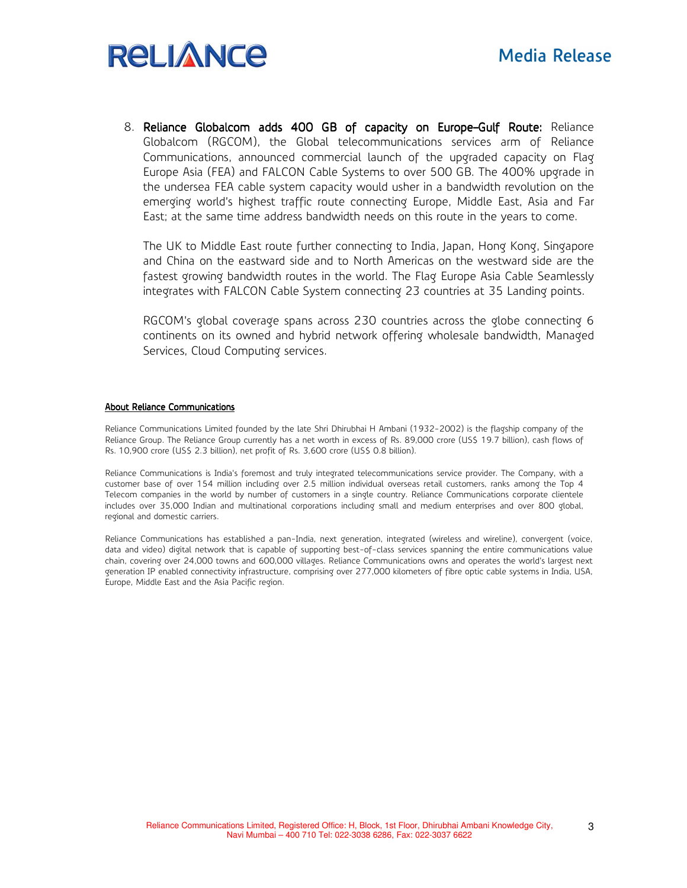# **RELIANCE**

8. Reliance Globalcom adds 400 GB of capacity on Europe–Gulf Route: Reliance Globalcom (RGCOM), the Global telecommunications services arm of Reliance Communications, announced commercial launch of the upgraded capacity on Flag Europe Asia (FEA) and FALCON Cable Systems to over 500 GB. The 400% upgrade in the undersea FEA cable system capacity would usher in a bandwidth revolution on the emerging world's highest traffic route connecting Europe, Middle East, Asia and Far East; at the same time address bandwidth needs on this route in the years to come.

The UK to Middle East route further connecting to India, Japan, Hong Kong, Singapore and China on the eastward side and to North Americas on the westward side are the fastest growing bandwidth routes in the world. The Flag Europe Asia Cable Seamlessly integrates with FALCON Cable System connecting 23 countries at 35 Landing points.

RGCOM's global coverage spans across 230 countries across the globe connecting 6 continents on its owned and hybrid network offering wholesale bandwidth, Managed Services, Cloud Computing services.

#### About Reliance Communications

Reliance Communications Limited founded by the late Shri Dhirubhai H Ambani (1932-2002) is the flagship company of the Reliance Group. The Reliance Group currently has a net worth in excess of Rs. 89,000 crore (US\$ 19.7 billion), cash flows of Rs. 10,900 crore (US\$ 2.3 billion), net profit of Rs. 3,600 crore (US\$ 0.8 billion).

Reliance Communications is India's foremost and truly integrated telecommunications service provider. The Company, with a customer base of over 154 million including over 2.5 million individual overseas retail customers, ranks among the Top 4 Telecom companies in the world by number of customers in a single country. Reliance Communications corporate clientele includes over 35,000 Indian and multinational corporations including small and medium enterprises and over 800 global, regional and domestic carriers.

Reliance Communications has established a pan-India, next generation, integrated (wireless and wireline), convergent (voice, data and video) digital network that is capable of supporting best-of-class services spanning the entire communications value chain, covering over 24,000 towns and 600,000 villages. Reliance Communications owns and operates the world's largest next generation IP enabled connectivity infrastructure, comprising over 277,000 kilometers of fibre optic cable systems in India, USA, Europe, Middle East and the Asia Pacific region.

3